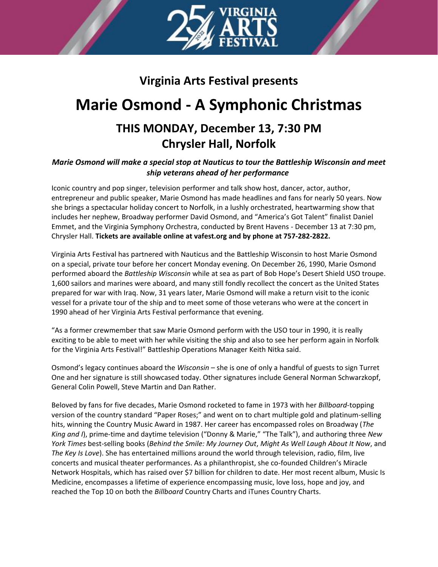

# **Virginia Arts Festival presents**

# **Marie Osmond - A Symphonic Christmas**

## **THIS MONDAY, December 13, 7:30 PM Chrysler Hall, Norfolk**

## *Marie Osmond will make a special stop at Nauticus to tour the Battleship Wisconsin and meet ship veterans ahead of her performance*

Iconic country and pop singer, television performer and talk show host, dancer, actor, author, entrepreneur and public speaker, Marie Osmond has made headlines and fans for nearly 50 years. Now she brings a spectacular holiday concert to Norfolk, in a lushly orchestrated, heartwarming show that includes her nephew, Broadway performer David Osmond, and "America's Got Talent" finalist Daniel Emmet, and the Virginia Symphony Orchestra, conducted by Brent Havens - December 13 at 7:30 pm, Chrysler Hall. **Tickets are available online at vafest.org and by phone at 757-282-2822.**

Virginia Arts Festival has partnered with Nauticus and the Battleship Wisconsin to host Marie Osmond on a special, private tour before her concert Monday evening. On December 26, 1990, Marie Osmond performed aboard the *Battleship Wisconsin* while at sea as part of Bob Hope's Desert Shield USO troupe. 1,600 sailors and marines were aboard, and many still fondly recollect the concert as the United States prepared for war with Iraq. Now, 31 years later, Marie Osmond will make a return visit to the iconic vessel for a private tour of the ship and to meet some of those veterans who were at the concert in 1990 ahead of her Virginia Arts Festival performance that evening.

"As a former crewmember that saw Marie Osmond perform with the USO tour in 1990, it is really exciting to be able to meet with her while visiting the ship and also to see her perform again in Norfolk for the Virginia Arts Festival!" Battleship Operations Manager Keith Nitka said.

Osmond's legacy continues aboard the *Wisconsin* – she is one of only a handful of guests to sign Turret One and her signature is still showcased today. Other signatures include General Norman Schwarzkopf, General Colin Powell, Steve Martin and Dan Rather.

Beloved by fans for five decades, Marie Osmond rocketed to fame in 1973 with her *Billboard*-topping version of the country standard "Paper Roses;" and went on to chart multiple gold and platinum-selling hits, winning the Country Music Award in 1987. Her career has encompassed roles on Broadway (*The King and I*), prime-time and daytime television ("Donny & Marie," "The Talk"), and authoring three *New York Times* best-selling books (*Behind the Smile: My Journey Out*, *Might As Well Laugh About It Now*, and *The Key Is Love*). She has entertained millions around the world through television, radio, film, live concerts and musical theater performances. As a philanthropist, she co-founded Children's Miracle Network Hospitals, which has raised over \$7 billion for children to date. Her most recent album, Music Is Medicine, encompasses a lifetime of experience encompassing music, love loss, hope and joy, and reached the Top 10 on both the *Billboard* Country Charts and iTunes Country Charts.